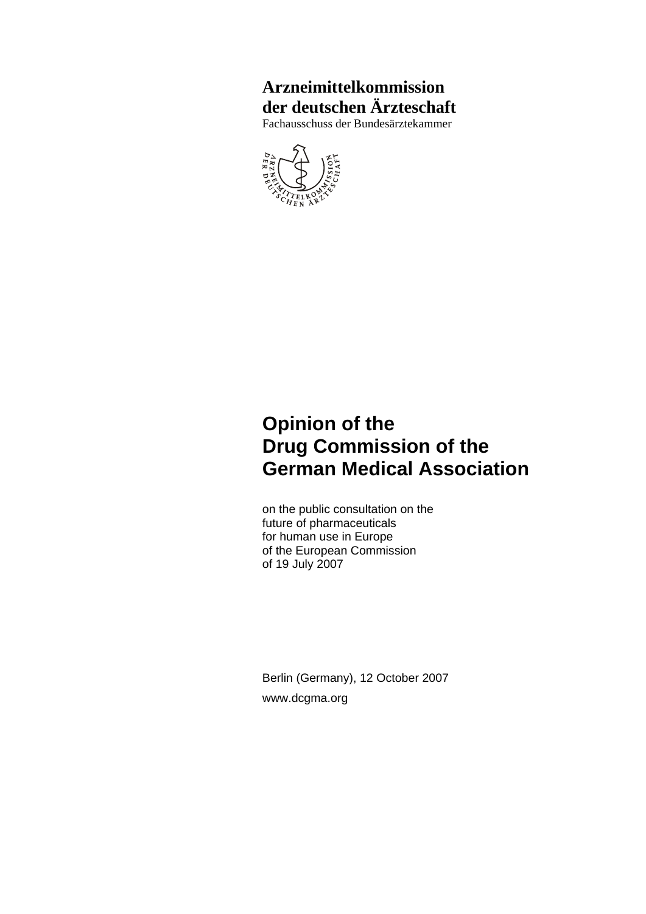## **Arzneimittelkommission der deutschen Ärzteschaft**

Fachausschuss der Bundesärztekammer



## **Opinion of the Drug Commission of the German Medical Association**

on the public consultation on the future of pharmaceuticals for human use in Europe of the European Commission of 19 July 2007

Berlin (Germany), 12 October 2007 www.dcgma.org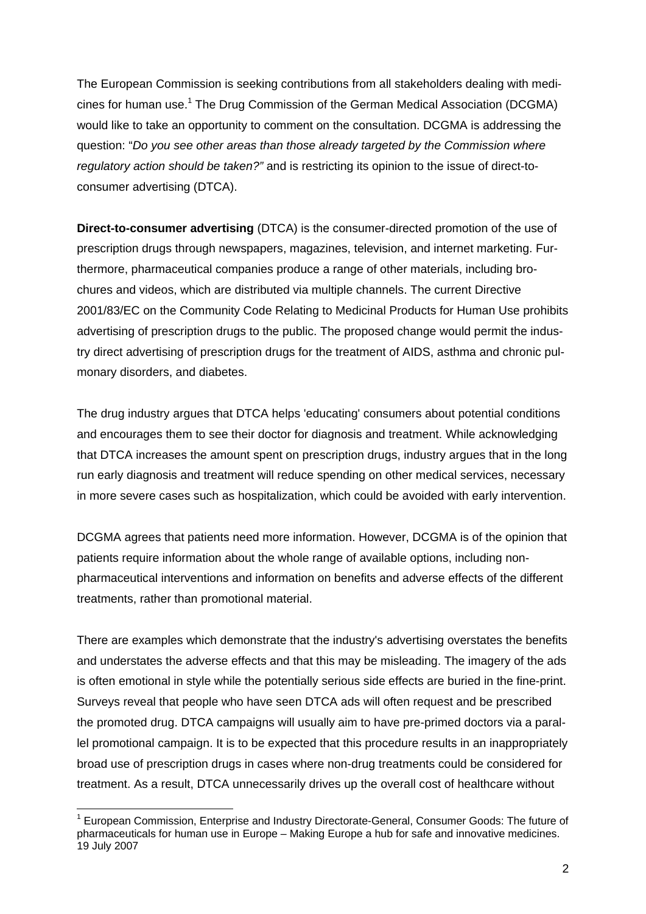The European Commission is seeking contributions from all stakeholders dealing with medicines for human use.<sup>1</sup> The Drug Commission of the German Medical Association (DCGMA) would like to take an opportunity to comment on the consultation. DCGMA is addressing the question: "*Do you see other areas than those already targeted by the Commission where regulatory action should be taken?"* and is restricting its opinion to the issue of direct-toconsumer advertising (DTCA).

**Direct-to-consumer advertising** (DTCA) is the consumer-directed promotion of the use of prescription drugs through newspapers, magazines, television, and internet marketing. Furthermore, pharmaceutical companies produce a range of other materials, including brochures and videos, which are distributed via multiple channels. The current Directive 2001/83/EC on the Community Code Relating to Medicinal Products for Human Use prohibits advertising of prescription drugs to the public. The proposed change would permit the industry direct advertising of prescription drugs for the treatment of AIDS, asthma and chronic pulmonary disorders, and diabetes.

The drug industry argues that DTCA helps 'educating' consumers about potential conditions and encourages them to see their doctor for diagnosis and treatment. While acknowledging that DTCA increases the amount spent on prescription drugs, industry argues that in the long run early diagnosis and treatment will reduce spending on other medical services, necessary in more severe cases such as hospitalization, which could be avoided with early intervention.

DCGMA agrees that patients need more information. However, DCGMA is of the opinion that patients require information about the whole range of available options, including nonpharmaceutical interventions and information on benefits and adverse effects of the different treatments, rather than promotional material.

There are examples which demonstrate that the industry's advertising overstates the benefits and understates the adverse effects and that this may be misleading. The imagery of the ads is often emotional in style while the potentially serious side effects are buried in the fine-print. Surveys reveal that people who have seen DTCA ads will often request and be prescribed the promoted drug. DTCA campaigns will usually aim to have pre-primed doctors via a parallel promotional campaign. It is to be expected that this procedure results in an inappropriately broad use of prescription drugs in cases where non-drug treatments could be considered for treatment. As a result, DTCA unnecessarily drives up the overall cost of healthcare without

1

<sup>&</sup>lt;sup>1</sup> European Commission, Enterprise and Industry Directorate-General, Consumer Goods: The future of pharmaceuticals for human use in Europe – Making Europe a hub for safe and innovative medicines. 19 July 2007